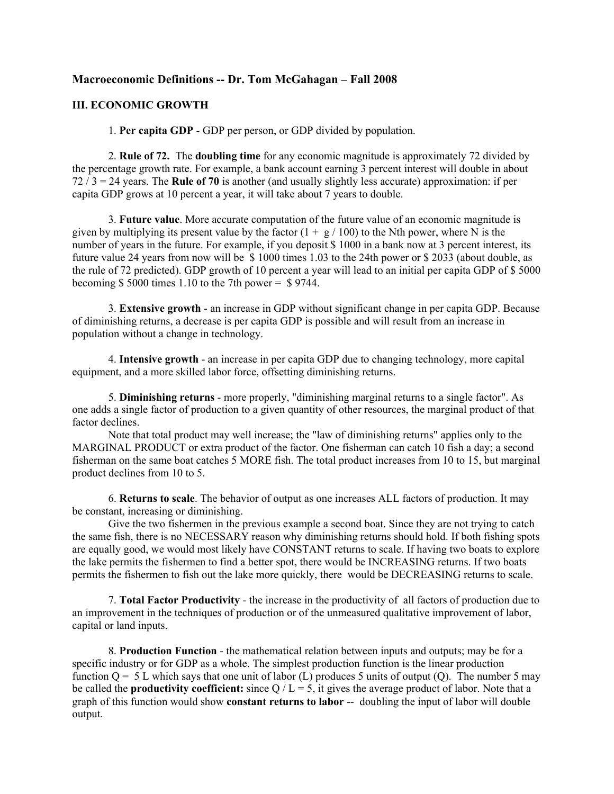## **Macroeconomic Definitions -- Dr. Tom McGahagan – Fall 2008**

## **III. ECONOMIC GROWTH**

1. **Per capita GDP** - GDP per person, or GDP divided by population.

2. **Rule of 72.** The **doubling time** for any economic magnitude is approximately 72 divided by the percentage growth rate. For example, a bank account earning 3 percent interest will double in about 72 / 3 = 24 years. The **Rule of 70** is another (and usually slightly less accurate) approximation: if per capita GDP grows at 10 percent a year, it will take about 7 years to double.

3. **Future value**. More accurate computation of the future value of an economic magnitude is given by multiplying its present value by the factor  $(1 + g / 100)$  to the Nth power, where N is the number of years in the future. For example, if you deposit \$ 1000 in a bank now at 3 percent interest, its future value 24 years from now will be \$ 1000 times 1.03 to the 24th power or \$ 2033 (about double, as the rule of 72 predicted). GDP growth of 10 percent a year will lead to an initial per capita GDP of \$ 5000 becoming  $$5000$  times 1.10 to the 7th power =  $$9744$ .

3. **Extensive growth** - an increase in GDP without significant change in per capita GDP. Because of diminishing returns, a decrease is per capita GDP is possible and will result from an increase in population without a change in technology.

4. **Intensive growth** - an increase in per capita GDP due to changing technology, more capital equipment, and a more skilled labor force, offsetting diminishing returns.

5. **Diminishing returns** - more properly, "diminishing marginal returns to a single factor". As one adds a single factor of production to a given quantity of other resources, the marginal product of that factor declines.

Note that total product may well increase; the "law of diminishing returns" applies only to the MARGINAL PRODUCT or extra product of the factor. One fisherman can catch 10 fish a day; a second fisherman on the same boat catches 5 MORE fish. The total product increases from 10 to 15, but marginal product declines from 10 to 5.

6. **Returns to scale**. The behavior of output as one increases ALL factors of production. It may be constant, increasing or diminishing.

Give the two fishermen in the previous example a second boat. Since they are not trying to catch the same fish, there is no NECESSARY reason why diminishing returns should hold. If both fishing spots are equally good, we would most likely have CONSTANT returns to scale. If having two boats to explore the lake permits the fishermen to find a better spot, there would be INCREASING returns. If two boats permits the fishermen to fish out the lake more quickly, there would be DECREASING returns to scale.

7. **Total Factor Productivity** - the increase in the productivity of all factors of production due to an improvement in the techniques of production or of the unmeasured qualitative improvement of labor, capital or land inputs.

8. **Production Function** - the mathematical relation between inputs and outputs; may be for a specific industry or for GDP as a whole. The simplest production function is the linear production function  $Q = 5$  L which says that one unit of labor (L) produces 5 units of output (Q). The number 5 may be called the **productivity coefficient:** since  $Q / L = 5$ , it gives the average product of labor. Note that a graph of this function would show **constant returns to labor** -- doubling the input of labor will double output.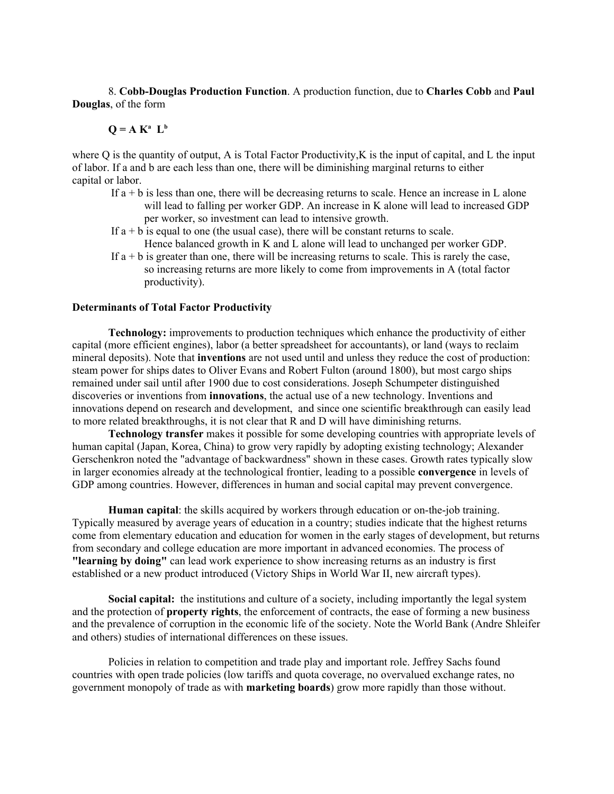8. **Cobb-Douglas Production Function**. A production function, due to **Charles Cobb** and **Paul Douglas**, of the form

## $Q = A K^a L^b$

where Q is the quantity of output, A is Total Factor Productivity, K is the input of capital, and L the input of labor. If a and b are each less than one, there will be diminishing marginal returns to either capital or labor.

- If  $a + b$  is less than one, there will be decreasing returns to scale. Hence an increase in L alone will lead to falling per worker GDP. An increase in K alone will lead to increased GDP per worker, so investment can lead to intensive growth.
- If  $a + b$  is equal to one (the usual case), there will be constant returns to scale. Hence balanced growth in K and L alone will lead to unchanged per worker GDP.
- If  $a + b$  is greater than one, there will be increasing returns to scale. This is rarely the case, so increasing returns are more likely to come from improvements in A (total factor productivity).

## **Determinants of Total Factor Productivity**

**Technology:** improvements to production techniques which enhance the productivity of either capital (more efficient engines), labor (a better spreadsheet for accountants), or land (ways to reclaim mineral deposits). Note that **inventions** are not used until and unless they reduce the cost of production: steam power for ships dates to Oliver Evans and Robert Fulton (around 1800), but most cargo ships remained under sail until after 1900 due to cost considerations. Joseph Schumpeter distinguished discoveries or inventions from **innovations**, the actual use of a new technology. Inventions and innovations depend on research and development, and since one scientific breakthrough can easily lead to more related breakthroughs, it is not clear that R and D will have diminishing returns.

**Technology transfer** makes it possible for some developing countries with appropriate levels of human capital (Japan, Korea, China) to grow very rapidly by adopting existing technology; Alexander Gerschenkron noted the "advantage of backwardness" shown in these cases. Growth rates typically slow in larger economies already at the technological frontier, leading to a possible **convergence** in levels of GDP among countries. However, differences in human and social capital may prevent convergence.

**Human capital**: the skills acquired by workers through education or on-the-job training. Typically measured by average years of education in a country; studies indicate that the highest returns come from elementary education and education for women in the early stages of development, but returns from secondary and college education are more important in advanced economies. The process of **"learning by doing"** can lead work experience to show increasing returns as an industry is first established or a new product introduced (Victory Ships in World War II, new aircraft types).

**Social capital:** the institutions and culture of a society, including importantly the legal system and the protection of **property rights**, the enforcement of contracts, the ease of forming a new business and the prevalence of corruption in the economic life of the society. Note the World Bank (Andre Shleifer and others) studies of international differences on these issues.

Policies in relation to competition and trade play and important role. Jeffrey Sachs found countries with open trade policies (low tariffs and quota coverage, no overvalued exchange rates, no government monopoly of trade as with **marketing boards**) grow more rapidly than those without.